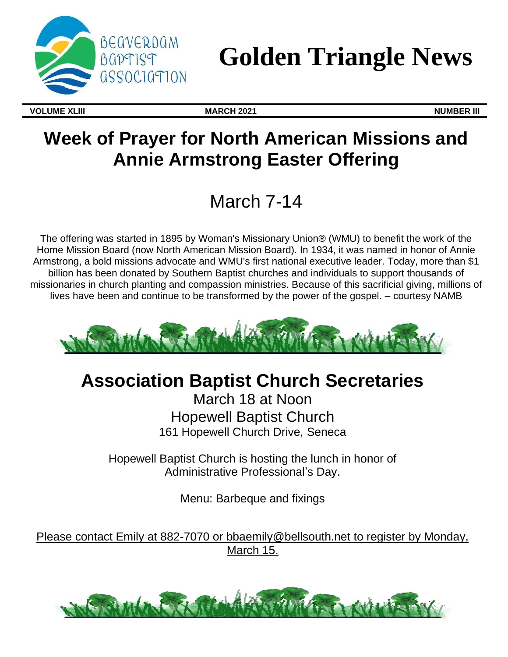

# **Golden Triangle News**

**VOLUME XLIII MARCH 2021 NUMBER III**

# **Week of Prayer for North American Missions and Annie Armstrong Easter Offering**

March 7-14

The offering was started in 1895 by Woman's Missionary Union® (WMU) to benefit the work of the Home Mission Board (now North American Mission Board). In 1934, it was named in honor of Annie Armstrong, a bold missions advocate and WMU's first national executive leader. Today, more than \$1 billion has been donated by Southern Baptist churches and individuals to support thousands of missionaries in church planting and compassion ministries. Because of this sacrificial giving, millions of lives have been and continue to be transformed by the power of the gospel. – courtesy NAMB



# **Association Baptist Church Secretaries**

March 18 at Noon Hopewell Baptist Church 161 Hopewell Church Drive, Seneca

Hopewell Baptist Church is hosting the lunch in honor of Administrative Professional's Day.

Menu: Barbeque and fixings

Please contact Emily at 882-7070 or [bbaemily@bellsouth.net](mailto:bbaemily@bellsouth.net) to register by Monday, March 15.

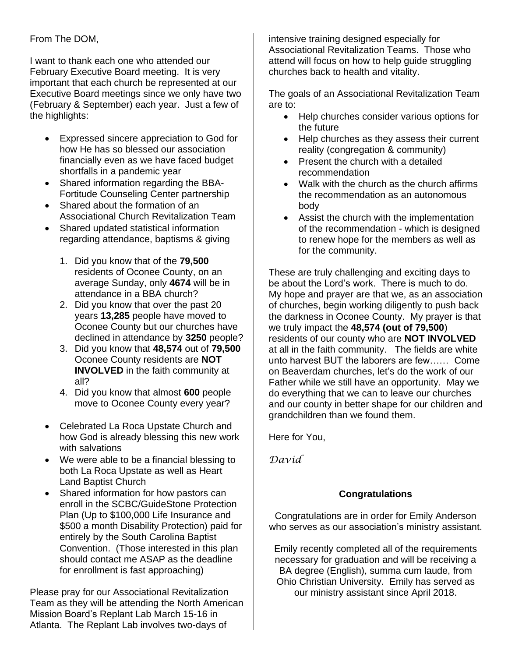#### From The DOM,

I want to thank each one who attended our February Executive Board meeting. It is very important that each church be represented at our Executive Board meetings since we only have two (February & September) each year. Just a few of the highlights:

- Expressed sincere appreciation to God for how He has so blessed our association financially even as we have faced budget shortfalls in a pandemic year
- Shared information regarding the BBA-Fortitude Counseling Center partnership
- Shared about the formation of an Associational Church Revitalization Team
- Shared updated statistical information regarding attendance, baptisms & giving
	- 1. Did you know that of the **79,500** residents of Oconee County, on an average Sunday, only **4674** will be in attendance in a BBA church?
	- 2. Did you know that over the past 20 years **13,285** people have moved to Oconee County but our churches have declined in attendance by **3250** people?
	- 3. Did you know that **48,574** out of **79,500** Oconee County residents are **NOT INVOLVED** in the faith community at all?
	- 4. Did you know that almost **600** people move to Oconee County every year?
- Celebrated La Roca Upstate Church and how God is already blessing this new work with salvations
- We were able to be a financial blessing to both La Roca Upstate as well as Heart Land Baptist Church
- Shared information for how pastors can enroll in the SCBC/GuideStone Protection Plan (Up to \$100,000 Life Insurance and \$500 a month Disability Protection) paid for entirely by the South Carolina Baptist Convention. (Those interested in this plan should contact me ASAP as the deadline for enrollment is fast approaching)

Please pray for our Associational Revitalization Team as they will be attending the North American Mission Board's Replant Lab March 15-16 in Atlanta. The Replant Lab involves two-days of

intensive training designed especially for Associational Revitalization Teams. Those who attend will focus on how to help guide struggling churches back to health and vitality.

The goals of an Associational Revitalization Team are to:

- Help churches consider various options for the future
- Help churches as they assess their current reality (congregation & community)
- Present the church with a detailed recommendation
- Walk with the church as the church affirms the recommendation as an autonomous body
- Assist the church with the implementation of the recommendation - which is designed to renew hope for the members as well as for the community.

These are truly challenging and exciting days to be about the Lord's work. There is much to do. My hope and prayer are that we, as an association of churches, begin working diligently to push back the darkness in Oconee County. My prayer is that we truly impact the **48,574 (out of 79,500**) residents of our county who are **NOT INVOLVED** at all in the faith community. The fields are white unto harvest BUT the laborers are few…… Come on Beaverdam churches, let's do the work of our Father while we still have an opportunity. May we do everything that we can to leave our churches and our county in better shape for our children and grandchildren than we found them.

Here for You,

*David*

#### **Congratulations**

Congratulations are in order for Emily Anderson who serves as our association's ministry assistant.

Emily recently completed all of the requirements necessary for graduation and will be receiving a BA degree (English), summa cum laude, from Ohio Christian University. Emily has served as our ministry assistant since April 2018.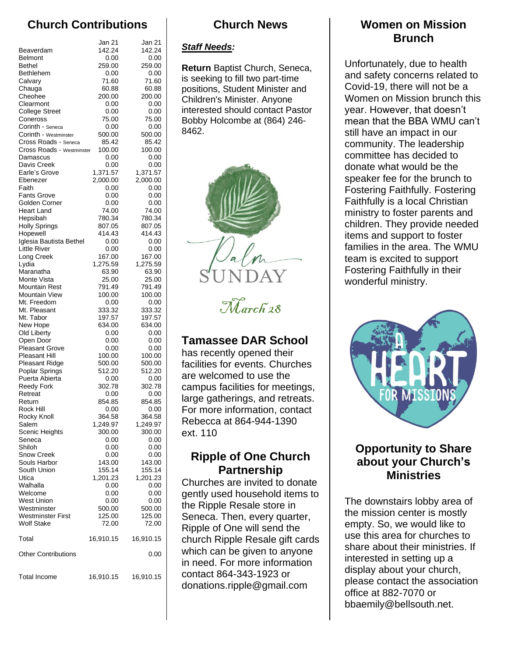# **Church Contributions**

|                                     | Jan 21           | Jan 21           |
|-------------------------------------|------------------|------------------|
| Beaverdam                           | 142.24           | 142.24           |
| Belmont                             | 0.00             | 0.00             |
| <b>Bethel</b>                       | 259.00           | 259.00           |
| Bethlehem                           | 0.00             | 0.00             |
| Calvary<br>Chauga                   | 71.60<br>60.88   | 71.60<br>60.88   |
| Cheohee                             | 200.00           | 200.00           |
| Clearmont                           | 0.00             | 0.00             |
| <b>College Street</b>               | 0.00             | 0.00             |
| Coneross                            | 75.00            | 75.00            |
| Corinth - Seneca                    | 0.00             | 0.00             |
| Corinth - Westminster               | 500.00           | 500.00           |
| Cross Roads - Seneca                | 85.42            | 85.42            |
| Cross Roads - Westminster           | 100.00           | 100.00           |
| Damascus<br>Davis Creek             | 0.00<br>0.00     | 0.00<br>0.00     |
| Earle's Grove                       | 1,371.57         | 1,371.57         |
| Ebenezer                            | 2,000.00         | 2,000.00         |
| Faith                               | 0.00             | 0.00             |
| <b>Fants Grove</b>                  | 0.00             | 0.00             |
| Golden Corner                       | 0.00             | 0.00             |
| Heart Land                          | 74.00            | 74.00            |
| Hepsibah                            | 780.34           | 780.34           |
| <b>Holly Springs</b>                | 807.05           | 807.05           |
| Hopewell<br>Iglesia Bautista Bethel | 414.43<br>0.00   | 414.43<br>0.00   |
| <b>Little River</b>                 | 0.00             | 0.00             |
| Long Creek                          | 167.00           | 167.00           |
| Lydia                               | 1,275.59         | 1,275.59         |
| Maranatha                           | 63.90            | 63.90            |
| Monte Vista                         | 25.00            | 25.00            |
| <b>Mountain Rest</b>                | 791.49           | 791.49           |
| <b>Mountain View</b>                | 100.00           | 100.00           |
| Mt. Freedom                         | 0.00             | 0.00             |
| Mt. Pleasant<br>Mt. Tabor           | 333.32<br>197.57 | 333.32<br>197.57 |
| New Hope                            | 634.00           | 634.00           |
| Old Liberty                         | 0.00             | 0.00             |
| Open Door                           | 0.00             | 0.00             |
| <b>Pleasant Grove</b>               | 0.00             | 0.00             |
| Pleasant Hill                       | 100.00           | 100.00           |
| Pleasant Ridge                      | 500.00           | 500.00           |
| Poplar Springs                      | 512.20           | 512.20           |
| Puerta Abierta<br><b>Reedy Fork</b> | 0.00<br>302.78   | 0.00<br>302.78   |
| Retreat                             | 0.00             | 0.00             |
| Return                              | 854.85           | 854.85           |
| Rock Hill                           | 0.00             | 0.00             |
| Rocky Knoll                         | 364.58           | 364.58           |
| Salem                               | 1,249.97         | 1,249.97         |
| Scenic Heights                      | 300.00           | 300.00           |
| Seneca                              | 0.00             | 0.00             |
| Shiloh                              | 0.00             | 0.00             |
| <b>Snow Creek</b><br>Souls Harbor   | 0.00<br>143.00   | 0.00<br>143.00   |
| South Union                         | 155.14           | 155.14           |
| Utica                               | 1,201.23         | 1,201.23         |
| Walhalla                            | 0.00             | 0.00             |
| Welcome                             | 0.00             | 0.00             |
| <b>West Union</b>                   | 0.00             | 0.00             |
| Westminster                         | 500.00           | 500.00           |
| Westminster First                   | 125.00           | 125.00           |
| <b>Wolf Stake</b>                   | 72.00            | 72.00            |
| Total                               | 16,910.15        | 16,910.15        |
| <b>Other Contributions</b>          |                  | 0.00             |
| <b>Total Income</b>                 | 16,910.15        | 16,910.15        |
|                                     |                  |                  |

# **Church News**

#### *Staff Needs:*

**Return** Baptist Church, Seneca, is seeking to fill two part-time positions, Student Minister and Children's Minister. Anyone interested should contact Pastor Bobby Holcombe at (864) 246- 8462.



March 28

### **Tamassee DAR School**

has recently opened their facilities for events. Churches are welcomed to use the campus facilities for meetings, large gatherings, and retreats. For more information, contact Rebecca at 864-944-1390 ext. 110

### **Ripple of One Church Partnership**

Churches are invited to donate gently used household items to the Ripple Resale store in Seneca. Then, every quarter, Ripple of One will send the church Ripple Resale gift cards which can be given to anyone in need. For more information contact 864-343-1923 or donations.ripple@gmail.com

### **Women on Mission Brunch**

Unfortunately, due to health and safety concerns related to Covid-19, there will not be a Women on Mission brunch this year. However, that doesn't mean that the BBA WMU can't still have an impact in our community. The leadership committee has decided to donate what would be the speaker fee for the brunch to Fostering Faithfully. Fostering Faithfully is a local Christian ministry to foster parents and children. They provide needed items and support to foster families in the area. The WMU team is excited to support Fostering Faithfully in their wonderful ministry.



### **Opportunity to Share about your Church's Ministries**

The downstairs lobby area of the mission center is mostly empty. So, we would like to use this area for churches to share about their ministries. If interested in setting up a display about your church, please contact the association office at 882-7070 or bbaemily@bellsouth.net.